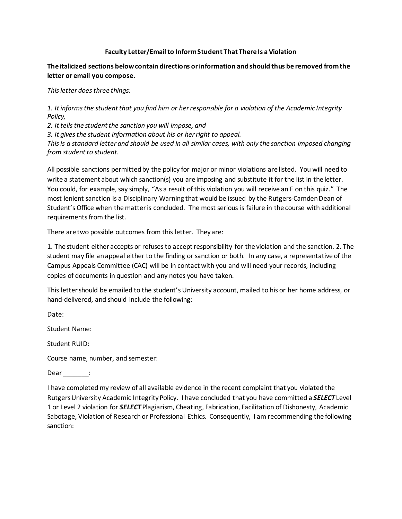## **Faculty Letter/Email to Inform Student That There Is a Violation**

## **The italicized sections below contain directions or information and should thus be removed from the letter or email you compose.**

*This letter does three things:* 

*1. It informs the student that you find him or her responsible for a violation of the Academic Integrity Policy,* 

*2. It tells the student the sanction you will impose, and* 

*3. It gives the student information about his or her right to appeal.* 

*This is a standard letter and should be used in all similar cases, with only the sanction imposed changing from student to student.* 

All possible sanctions permitted by the policy for major or minor violations are listed. You will need to write a statement about which sanction(s) you are imposing and substitute it for the list in the letter. You could, for example, say simply, "As a result of this violation you will receive an F on this quiz." The most lenient sanction is a Disciplinary Warning that would be issued by the Rutgers-Camden Dean of Student's Office when the matter is concluded. The most serious is failure in the course with additional requirements from the list.

There are two possible outcomes from this letter. They are:

1. The student either accepts or refuses to accept responsibility for the violation and the sanction. 2. The student may file an appeal either to the finding or sanction or both. In any case, a representative of the Campus Appeals Committee (CAC) will be in contact with you and will need your records, including copies of documents in question and any notes you have taken.

This letter should be emailed to the student's University account, mailed to his or her home address, or hand-delivered, and should include the following:

Date:

Student Name:

Student RUID:

Course name, number, and semester:

Dear \_\_\_\_\_\_\_\_:

I have completed my review of all available evidence in the recent complaint that you violated the Rutgers University Academic Integrity Policy. I have concluded that you have committed a *SELECT* Level 1 or Level 2 violation for *SELECT* Plagiarism, Cheating, Fabrication, Facilitation of Dishonesty, Academic Sabotage, Violation of Research or Professional Ethics. Consequently, I am recommending the following sanction: